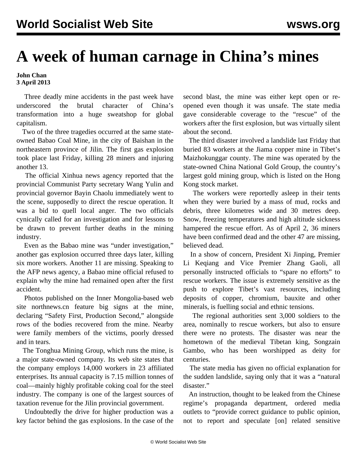## **A week of human carnage in China's mines**

**John Chan 3 April 2013**

 Three deadly mine accidents in the past week have underscored the brutal character of China's transformation into a huge sweatshop for global capitalism.

 Two of the three tragedies occurred at the same stateowned Babao Coal Mine, in the city of Baishan in the northeastern province of Jilin. The first gas explosion took place last Friday, killing 28 miners and injuring another 13.

 The official Xinhua news agency reported that the provincial Communist Party secretary Wang Yulin and provincial governor Bayin Chaolu immediately went to the scene, supposedly to direct the rescue operation. It was a bid to quell local anger. The two officials cynically called for an investigation and for lessons to be drawn to prevent further deaths in the mining industry.

 Even as the Babao mine was "under investigation," another gas explosion occurred three days later, killing six more workers. Another 11 are missing. Speaking to the AFP news agency, a Babao mine official refused to explain why the mine had remained open after the first accident.

 Photos published on the Inner Mongolia-based web site northnews.cn feature big signs at the mine, declaring "Safety First, Production Second," alongside rows of the bodies recovered from the mine. Nearby were family members of the victims, poorly dressed and in tears.

 The Tonghua Mining Group, which runs the mine, is a major state-owned company. Its web site states that the company employs 14,000 workers in 23 affiliated enterprises. Its annual capacity is 7.15 million tonnes of coal—mainly highly profitable coking coal for the steel industry. The company is one of the largest sources of taxation revenue for the Jilin provincial government.

 Undoubtedly the drive for higher production was a key factor behind the gas explosions. In the case of the second blast, the mine was either kept open or reopened even though it was unsafe. The state media gave considerable coverage to the "rescue" of the workers after the first explosion, but was virtually silent about the second.

 The third disaster involved a landslide last Friday that buried 83 workers at the Jiama copper mine in Tibet's Maizhokunggar county. The mine was operated by the state-owned China National Gold Group, the country's largest gold mining group, which is listed on the Hong Kong stock market.

 The workers were reportedly asleep in their tents when they were buried by a mass of mud, rocks and debris, three kilometres wide and 30 metres deep. Snow, freezing temperatures and high altitude sickness hampered the rescue effort. As of April 2, 36 miners have been confirmed dead and the other 47 are missing, believed dead.

 In a show of concern, President Xi Jinping, Premier Li Keqiang and Vice Premier Zhang Gaoli, all personally instructed officials to "spare no efforts" to rescue workers. The issue is extremely sensitive as the push to explore Tibet's vast resources, including deposits of copper, chromium, bauxite and other minerals, is fuelling social and ethnic tensions.

 The regional authorities sent 3,000 soldiers to the area, nominally to rescue workers, but also to ensure there were no protests. The disaster was near the hometown of the medieval Tibetan king, Songzain Gambo, who has been worshipped as deity for centuries.

 The state media has given no official explanation for the sudden landslide, saying only that it was a "natural disaster."

 An instruction, thought to be leaked from the Chinese regime's propaganda department, ordered media outlets to "provide correct guidance to public opinion, not to report and speculate [on] related sensitive